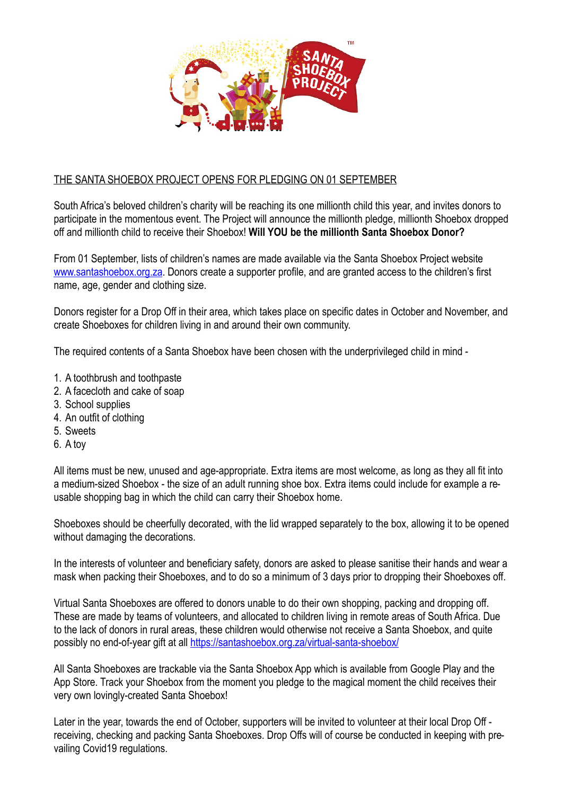

# THE SANTA SHOEBOX PROJECT OPENS FOR PLEDGING ON 01 SEPTEMBER

South Africa's beloved children's charity will be reaching its one millionth child this year, and invites donors to participate in the momentous event. The Project will announce the millionth pledge, millionth Shoebox dropped off and millionth child to receive their Shoebox! **Will YOU be the millionth Santa Shoebox Donor?** 

From 01 September, lists of children's names are made available via the Santa Shoebox Project website [www.santashoebox.org.za.](http://www.santashoebox.org.za) Donors create a supporter profile, and are granted access to the children's first name, age, gender and clothing size.

Donors register for a Drop Off in their area, which takes place on specific dates in October and November, and create Shoeboxes for children living in and around their own community.

The required contents of a Santa Shoebox have been chosen with the underprivileged child in mind -

- 1. A toothbrush and toothpaste
- 2. A facecloth and cake of soap
- 3. School supplies
- 4. An outfit of clothing
- 5. Sweets
- 6. A toy

All items must be new, unused and age-appropriate. Extra items are most welcome, as long as they all fit into a medium-sized Shoebox - the size of an adult running shoe box. Extra items could include for example a reusable shopping bag in which the child can carry their Shoebox home.

Shoeboxes should be cheerfully decorated, with the lid wrapped separately to the box, allowing it to be opened without damaging the decorations.

In the interests of volunteer and beneficiary safety, donors are asked to please sanitise their hands and wear a mask when packing their Shoeboxes, and to do so a minimum of 3 days prior to dropping their Shoeboxes off.

Virtual Santa Shoeboxes are offered to donors unable to do their own shopping, packing and dropping off. These are made by teams of volunteers, and allocated to children living in remote areas of South Africa. Due to the lack of donors in rural areas, these children would otherwise not receive a Santa Shoebox, and quite possibly no end-of-year gift at all<https://santashoebox.org.za/virtual-santa-shoebox/>

All Santa Shoeboxes are trackable via the Santa Shoebox App which is available from Google Play and the App Store. Track your Shoebox from the moment you pledge to the magical moment the child receives their very own lovingly-created Santa Shoebox!

Later in the year, towards the end of October, supporters will be invited to volunteer at their local Drop Off receiving, checking and packing Santa Shoeboxes. Drop Offs will of course be conducted in keeping with prevailing Covid19 regulations.